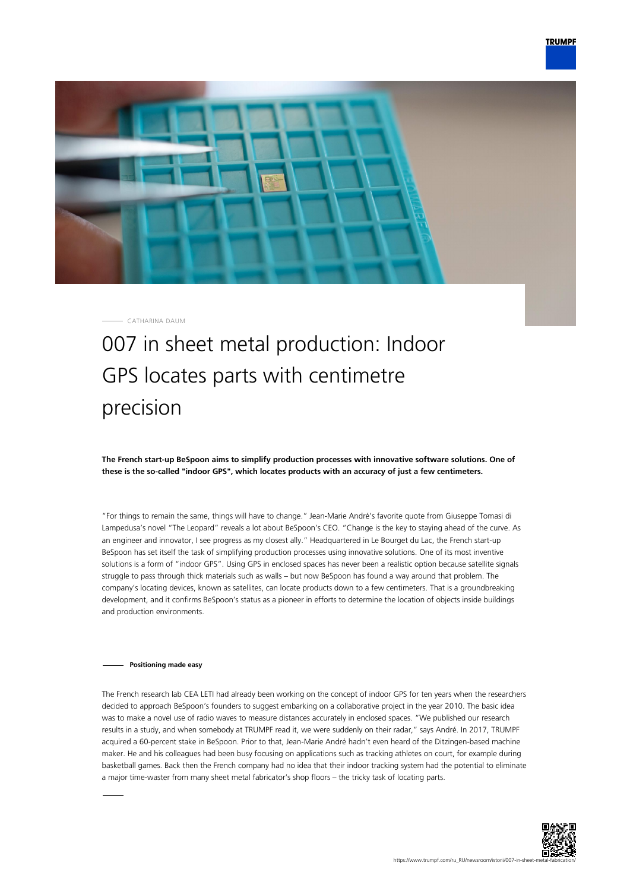

CATHARINA DAUM

# 007 in sheet metal production: Indoor GPS locates parts with centimetre precision

**The French start-up BeSpoon aims to simplify production processes with innovative software solutions. One of these is the so-called "indoor GPS", which locates products with an accuracy of just a few centimeters.**

"For things to remain the same, things will have to change." Jean-Marie André's favorite quote from Giuseppe Tomasi di Lampedusa's novel "The Leopard" reveals a lot about BeSpoon's CEO. "Change is the key to staying ahead of the curve. As an engineer and innovator, I see progress as my closest ally." Headquartered in Le Bourget du Lac, the French start-up BeSpoon has set itself the task of simplifying production processes using innovative solutions. One of its most inventive solutions is a form of "indoor GPS". Using GPS in enclosed spaces has never been a realistic option because satellite signals struggle to pass through thick materials such as walls – but now BeSpoon has found a way around that problem. The company's locating devices, known as satellites, can locate products down to a few centimeters. That is a groundbreaking development, and it confirms BeSpoon's status as a pioneer in efforts to determine the location of objects inside buildings and production environments.

## **Positioning made easy**

The French research lab CEA LETI had already been working on the concept of indoor GPS for ten years when the researchers decided to approach BeSpoon's founders to suggest embarking on a collaborative project in the year 2010. The basic idea was to make a novel use of radio waves to measure distances accurately in enclosed spaces. "We published our research results in a study, and when somebody at TRUMPF read it, we were suddenly on their radar," says André. In 2017, TRUMPF acquired a 60-percent stake in BeSpoon. Prior to that, Jean-Marie André hadn't even heard of the Ditzingen-based machine maker. He and his colleagues had been busy focusing on applications such as tracking athletes on court, for example during basketball games. Back then the French company had no idea that their indoor tracking system had the potential to eliminate a major time-waster from many sheet metal fabricator's shop floors – the tricky task of locating parts.

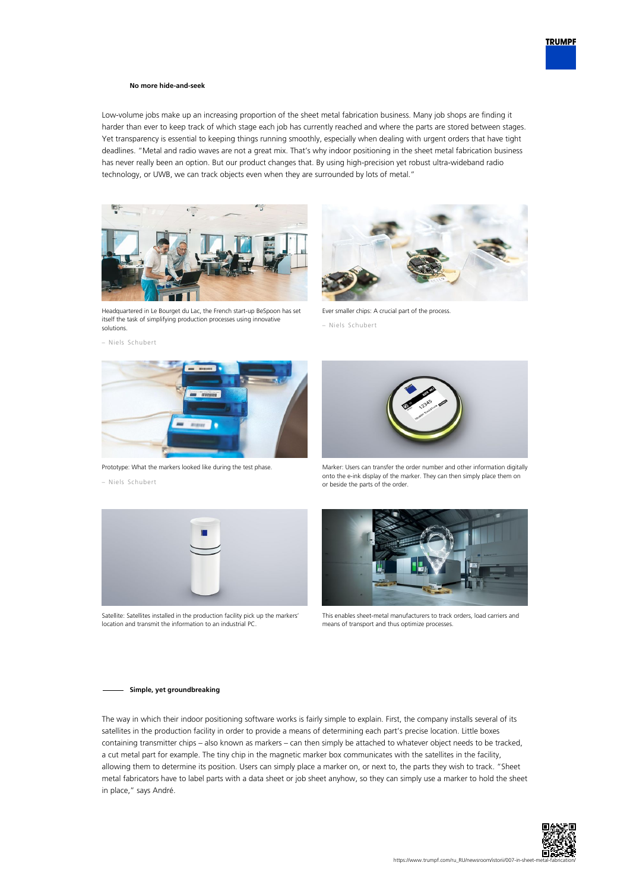### **No more hide-and-seek**

Low-volume jobs make up an increasing proportion of the sheet metal fabrication business. Many job shops are finding it harder than ever to keep track of which stage each job has currently reached and where the parts are stored between stages. Yet transparency is essential to keeping things running smoothly, especially when dealing with urgent orders that have tight deadlines. "Metal and radio waves are not a great mix. That's why indoor positioning in the sheet metal fabrication business has never really been an option. But our product changes that. By using high-precision yet robust ultra-wideband radio technology, or UWB, we can track objects even when they are surrounded by lots of metal."



Headquartered in Le Bourget du Lac, the French start-up BeSpoon has set itself the task of simplifying production processes using innovative solutions.





Prototype: What the markers looked like during the test phase.





Satellite: Satellites installed in the production facility pick up the markers' location and transmit the information to an industrial PC.



Ever smaller chips: A crucial part of the process.

– Niels Schubert



Marker: Users can transfer the order number and other information digitally onto the e-ink display of the marker. They can then simply place them on or beside the parts of the order.



This enables sheet-metal manufacturers to track orders, load carriers and means of transport and thus optimize processes.

#### **Simple, yet groundbreaking**

The way in which their indoor positioning software works is fairly simple to explain. First, the company installs several of its satellites in the production facility in order to provide a means of determining each part's precise location. Little boxes containing transmitter chips – also known as markers – can then simply be attached to whatever object needs to be tracked, a cut metal part for example. The tiny chip in the magnetic marker box communicates with the satellites in the facility, allowing them to determine its position. Users can simply place a marker on, or next to, the parts they wish to track. "Sheet metal fabricators have to label parts with a data sheet or job sheet anyhow, so they can simply use a marker to hold the sheet in place," says André.